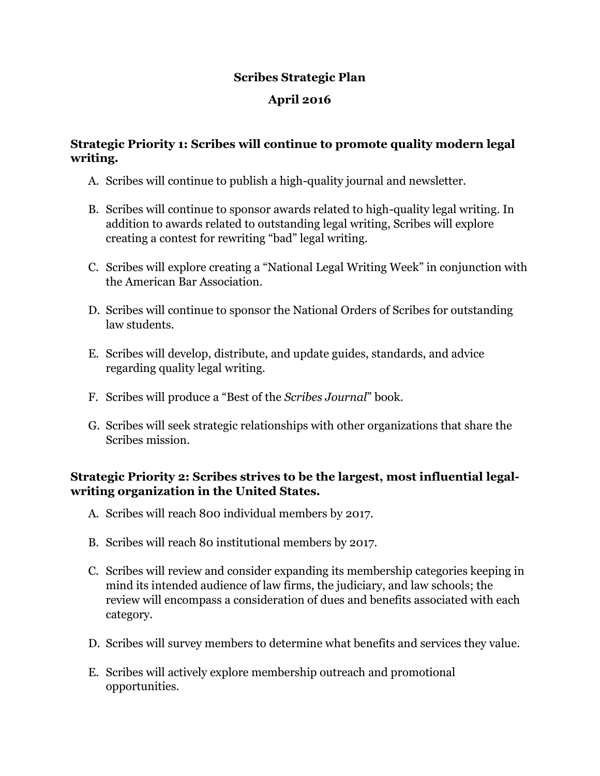#### **Scribes Strategic Plan**

## **April 2016**

### **Strategic Priority 1: Scribes will continue to promote quality modern legal writing.**

- A. Scribes will continue to publish a high-quality journal and newsletter.
- B. Scribes will continue to sponsor awards related to high-quality legal writing. In addition to awards related to outstanding legal writing, Scribes will explore creating a contest for rewriting "bad" legal writing.
- C. Scribes will explore creating a "National Legal Writing Week" in conjunction with the American Bar Association.
- D. Scribes will continue to sponsor the National Orders of Scribes for outstanding law students.
- E. Scribes will develop, distribute, and update guides, standards, and advice regarding quality legal writing.
- F. Scribes will produce a "Best of the *Scribes Journal*" book.
- G. Scribes will seek strategic relationships with other organizations that share the Scribes mission.

# **Strategic Priority 2: Scribes strives to be the largest, most influential legalwriting organization in the United States.**

- A. Scribes will reach 800 individual members by 2017.
- B. Scribes will reach 80 institutional members by 2017.
- C. Scribes will review and consider expanding its membership categories keeping in mind its intended audience of law firms, the judiciary, and law schools; the review will encompass a consideration of dues and benefits associated with each category.
- D. Scribes will survey members to determine what benefits and services they value.
- E. Scribes will actively explore membership outreach and promotional opportunities.